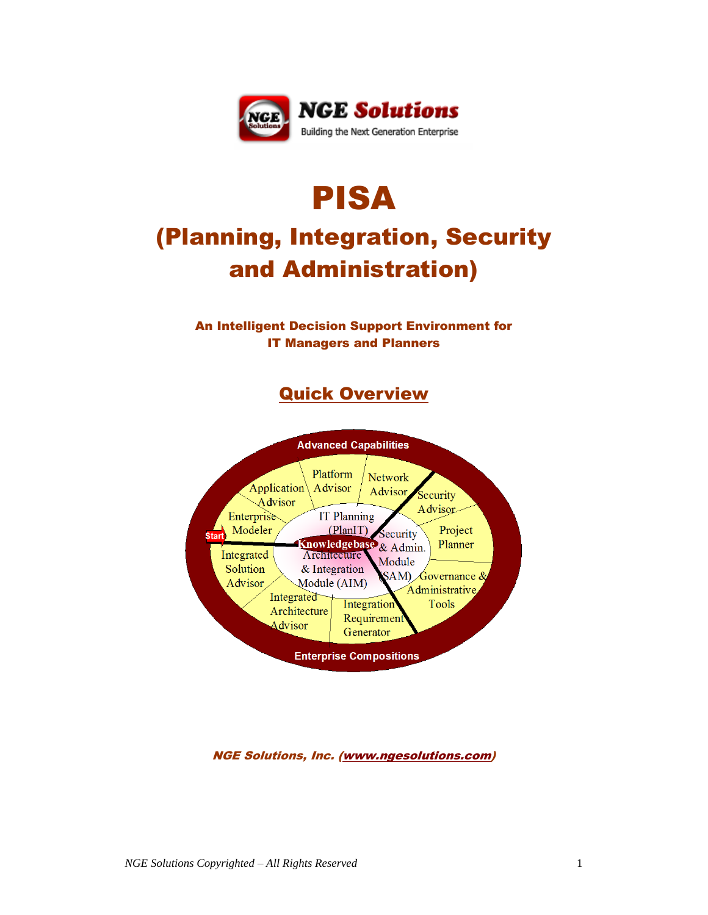

# PISA (Planning, Integration, Security and Administration)

## An Intelligent Decision Support Environment for IT Managers and Planners

# Quick Overview



### NGE Solutions, Inc. [\(www.ngesolutions.com\)](http://www.ngesolutions.com/)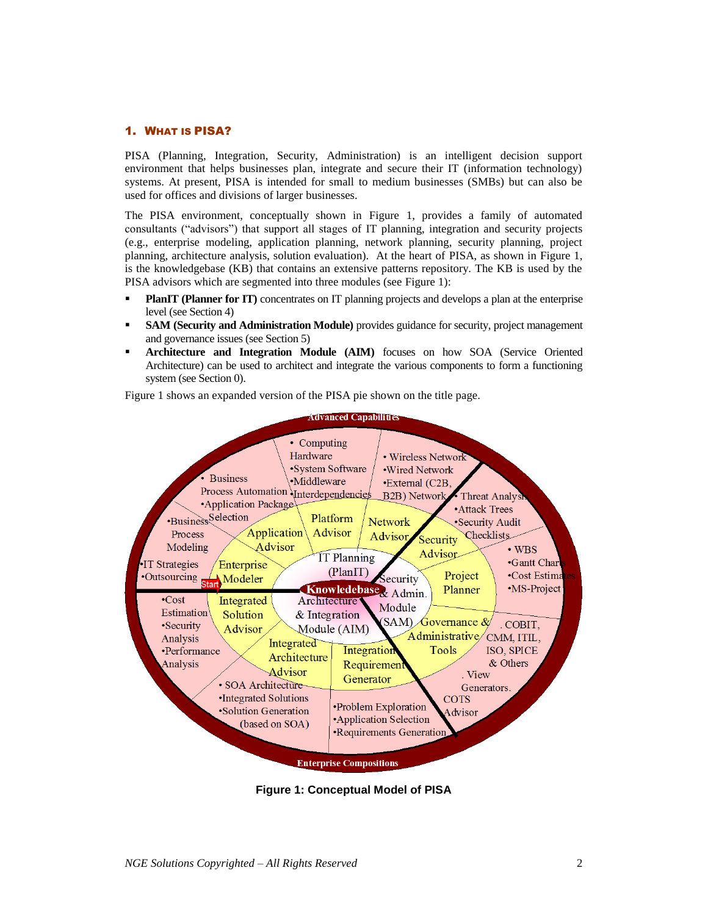#### 1. WHAT IS PISA?

PISA (Planning, Integration, Security, Administration) is an intelligent decision support environment that helps businesses plan, integrate and secure their IT (information technology) systems. At present, PISA is intended for small to medium businesses (SMBs) but can also be used for offices and divisions of larger businesses.

The PISA environment, conceptually shown in [Figure 1,](#page-1-0) provides a family of automated consultants ("advisors") that support all stages of IT planning, integration and security projects (e.g., enterprise modeling, application planning, network planning, security planning, project planning, architecture analysis, solution evaluation). At the heart of PISA, as shown in [Figure 1,](#page-1-0) is the knowledgebase (KB) that contains an extensive patterns repository. The KB is used by the PISA advisors which are segmented into three modules (see [Figure 1\)](#page-1-0):

- **PlanIT (Planner for IT)** concentrates on IT planning projects and develops a plan at the enterprise level (see Sectio[n 4\)](#page-4-0)
- **SAM (Security and Administration Module)** provides guidance for security, project management and governance issues (see Sectio[n 5\)](#page-5-0)
- **Architecture and Integration Module (AIM)** focuses on how SOA (Service Oriented Architecture) can be used to architect and integrate the various components to form a functioning system (see Sectio[n 0\)](#page-5-1).

Figure 1 shows an expanded version of the PISA pie shown on the title page.



<span id="page-1-0"></span>**Figure 1: Conceptual Model of PISA**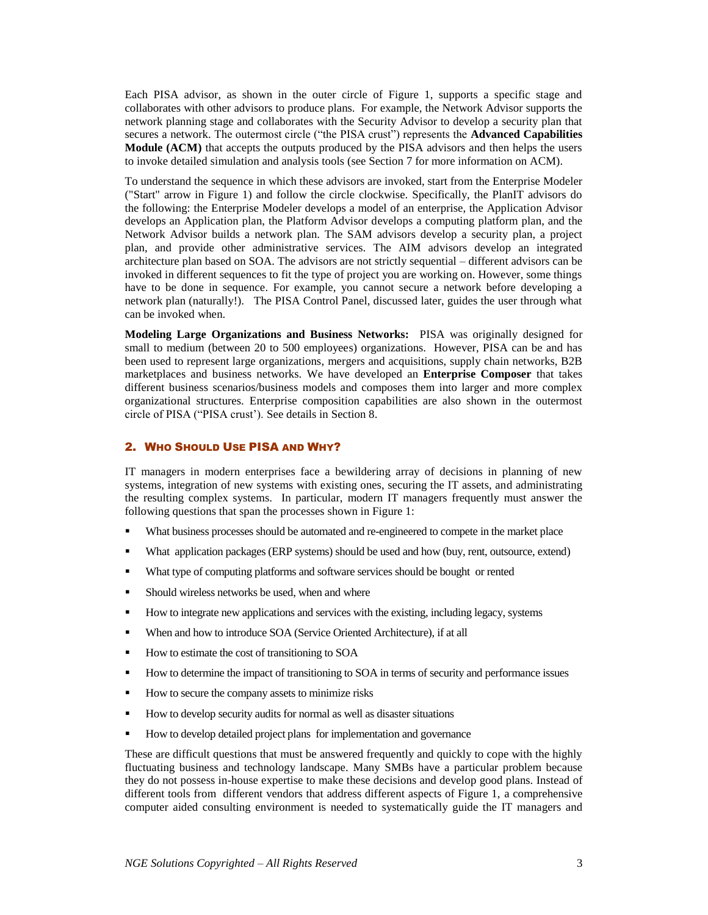Each PISA advisor, as shown in the outer circle of Figure 1, supports a specific stage and collaborates with other advisors to produce plans. For example, the Network Advisor supports the network planning stage and collaborates with the Security Advisor to develop a security plan that secures a network. The outermost circle ("the PISA crust") represents the **Advanced Capabilities Module (ACM)** that accepts the outputs produced by the PISA advisors and then helps the users to invoke detailed simulation and analysis tools (see Sectio[n 7](#page-6-0) for more information on ACM).

To understand the sequence in which these advisors are invoked, start from the Enterprise Modeler ("Start" arrow in Figure 1) and follow the circle clockwise. Specifically, the PlanIT advisors do the following: the Enterprise Modeler develops a model of an enterprise, the Application Advisor develops an Application plan, the Platform Advisor develops a computing platform plan, and the Network Advisor builds a network plan. The SAM advisors develop a security plan, a project plan, and provide other administrative services. The AIM advisors develop an integrated architecture plan based on SOA. The advisors are not strictly sequential – different advisors can be invoked in different sequences to fit the type of project you are working on. However, some things have to be done in sequence. For example, you cannot secure a network before developing a network plan (naturally!). The PISA Control Panel, discussed later, guides the user through what can be invoked when.

**Modeling Large Organizations and Business Networks:** PISA was originally designed for small to medium (between 20 to 500 employees) organizations. However, PISA can be and has been used to represent large organizations, mergers and acquisitions, supply chain networks, B2B marketplaces and business networks. We have developed an **Enterprise Composer** that takes different business scenarios/business models and composes them into larger and more complex organizational structures. Enterprise composition capabilities are also shown in the outermost circle of PISA ("PISA crust'). See details in Section [8.](#page-7-0)

#### 2. WHO SHOULD USE PISA AND WHY?

IT managers in modern enterprises face a bewildering array of decisions in planning of new systems, integration of new systems with existing ones, securing the IT assets, and administrating the resulting complex systems. In particular, modern IT managers frequently must answer the following questions that span the processes shown in Figure 1:

- What business processes should be automated and re-engineered to compete in the market place
- What application packages (ERP systems) should be used and how (buy, rent, outsource, extend)
- What type of computing platforms and software services should be bought or rented
- **Should wireless networks be used, when and where**
- How to integrate new applications and services with the existing, including legacy, systems
- When and how to introduce SOA (Service Oriented Architecture), if at all
- How to estimate the cost of transitioning to SOA
- How to determine the impact of transitioning to SOA in terms of security and performance issues
- How to secure the company assets to minimize risks
- How to develop security audits for normal as well as disaster situations
- How to develop detailed project plans for implementation and governance

These are difficult questions that must be answered frequently and quickly to cope with the highly fluctuating business and technology landscape. Many SMBs have a particular problem because they do not possess in-house expertise to make these decisions and develop good plans. Instead of different tools from different vendors that address different aspects of Figure 1, a comprehensive computer aided consulting environment is needed to systematically guide the IT managers and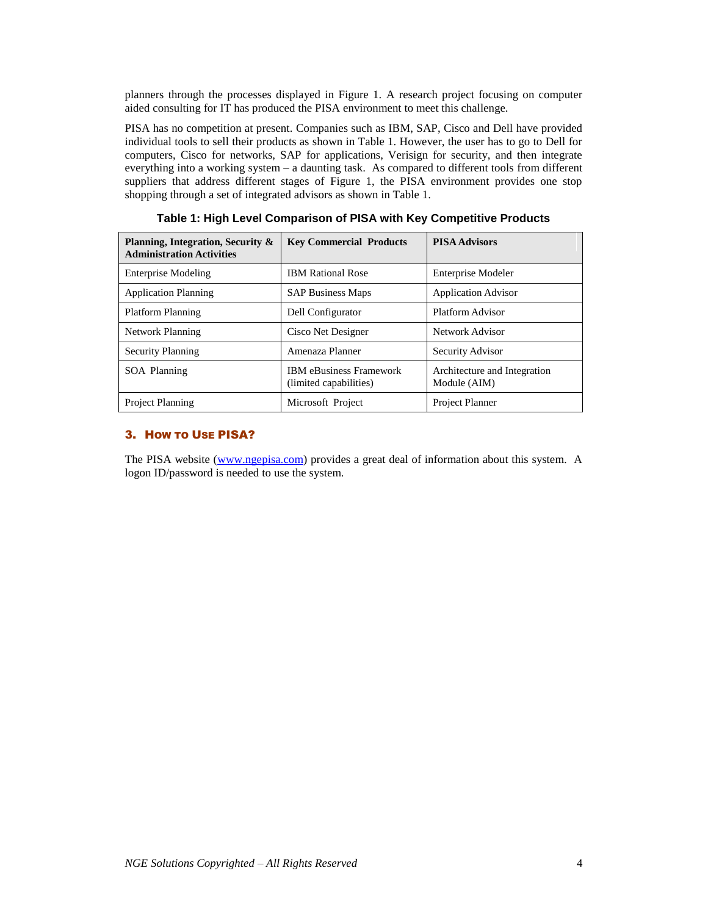planners through the processes displayed in Figure 1. A research project focusing on computer aided consulting for IT has produced the PISA environment to meet this challenge.

PISA has no competition at present. Companies such as IBM, SAP, Cisco and Dell have provided individual tools to sell their products as shown in Table 1. However, the user has to go to Dell for computers, Cisco for networks, SAP for applications, Verisign for security, and then integrate everything into a working system – a daunting task. As compared to different tools from different suppliers that address different stages of Figure 1, the PISA environment provides one stop shopping through a set of integrated advisors as shown in Table 1.

| Planning, Integration, Security &<br><b>Administration Activities</b> | <b>Key Commercial Products</b>                           | <b>PISA Advisors</b>                         |
|-----------------------------------------------------------------------|----------------------------------------------------------|----------------------------------------------|
| <b>Enterprise Modeling</b>                                            | <b>IBM Rational Rose</b>                                 | Enterprise Modeler                           |
| <b>Application Planning</b>                                           | <b>SAP Business Maps</b>                                 | <b>Application Advisor</b>                   |
| <b>Platform Planning</b>                                              | Dell Configurator                                        | Platform Advisor                             |
| Network Planning                                                      | Cisco Net Designer                                       | Network Advisor                              |
| <b>Security Planning</b>                                              | Amenaza Planner                                          | Security Advisor                             |
| SOA Planning                                                          | <b>IBM</b> eBusiness Framework<br>(limited capabilities) | Architecture and Integration<br>Module (AIM) |
| <b>Project Planning</b>                                               | Microsoft Project                                        | <b>Project Planner</b>                       |

**Table 1: High Level Comparison of PISA with Key Competitive Products**

#### 3. HOW TO USE PISA?

The PISA website [\(www.ngepisa.com\)](http://www.ngepisa.com/) provides a great deal of information about this system. A logon ID/password is needed to use the system.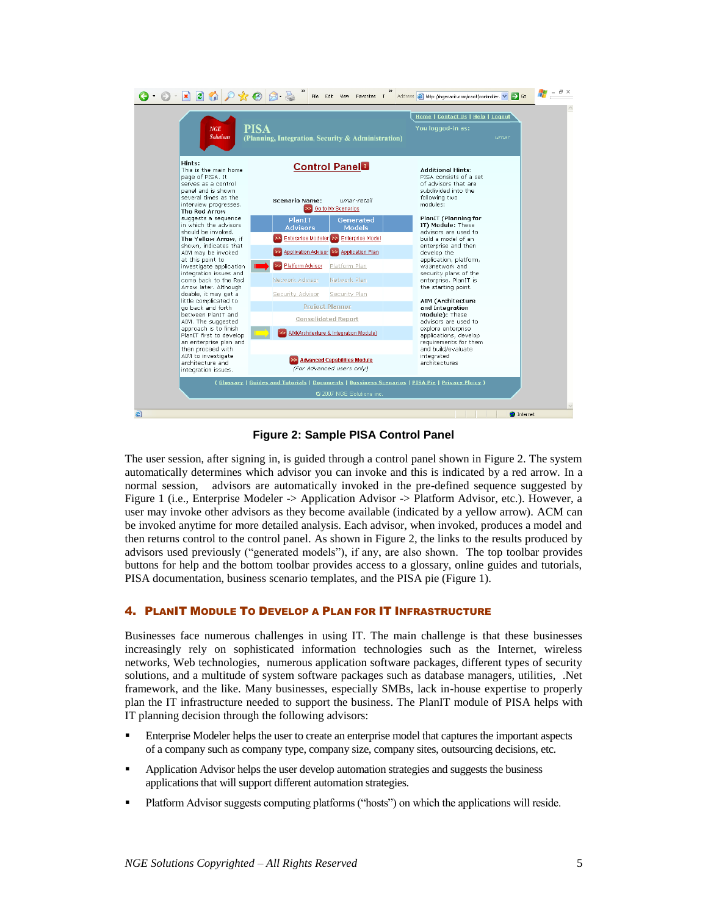

**Figure 2: Sample PISA Control Panel** 

<span id="page-4-1"></span>The user session, after signing in, is guided through a control panel shown in Figure 2. The system automatically determines which advisor you can invoke and this is indicated by a red arrow. In a normal session, advisors are automatically invoked in the pre-defined sequence suggested by Figure 1 (i.e., Enterprise Modeler -> Application Advisor -> Platform Advisor, etc.). However, a user may invoke other advisors as they become available (indicated by a yellow arrow). ACM can be invoked anytime for more detailed analysis. Each advisor, when invoked, produces a model and then returns control to the control panel. As shown i[n Figure 2,](#page-4-1) the links to the results produced by advisors used previously ("generated models"), if any, are also shown. The top toolbar provides buttons for help and the bottom toolbar provides access to a glossary, online guides and tutorials, PISA documentation, business scenario templates, and the PISA pie (Figure 1).

#### <span id="page-4-0"></span>4. PLANIT MODULE TO DEVELOP A PLAN FOR IT INFRASTRUCTURE

Businesses face numerous challenges in using IT. The main challenge is that these businesses increasingly rely on sophisticated information technologies such as the Internet, wireless networks, Web technologies, numerous application software packages, different types of security solutions, and a multitude of system software packages such as database managers, utilities, .Net framework, and the like. Many businesses, especially SMBs, lack in-house expertise to properly plan the IT infrastructure needed to support the business. The PlanIT module of PISA helps with IT planning decision through the following advisors:

- **Enterprise Modeler helps the user to create an enterprise model that captures the important aspects** of a company such as company type, company size, company sites, outsourcing decisions, etc.
- Application Advisor helps the user develop automation strategies and suggests the business applications that will support different automation strategies.
- Platform Advisor suggests computing platforms ("hosts") on which the applications will reside.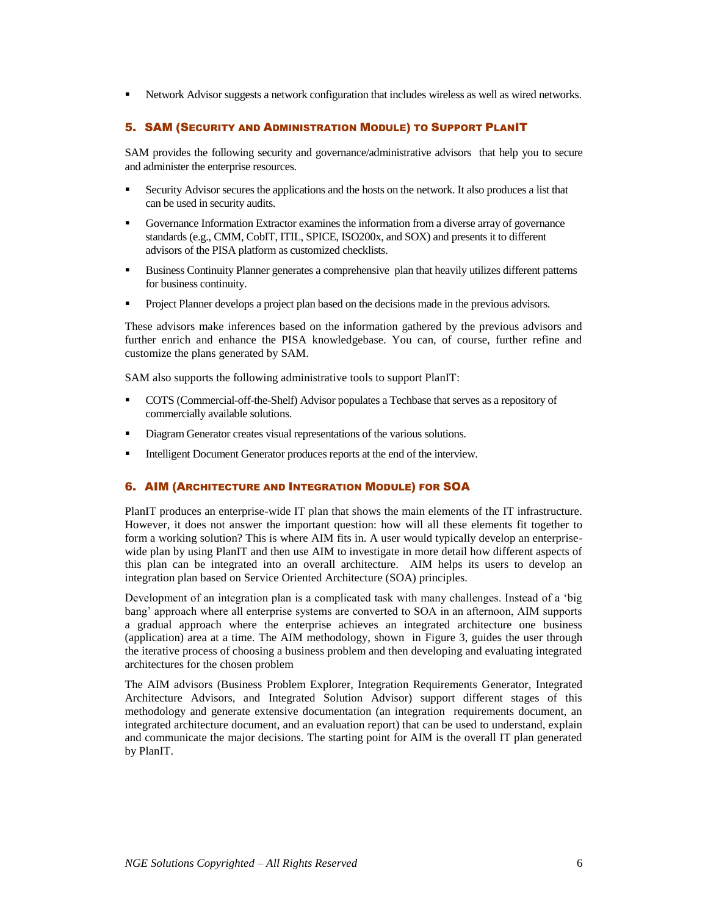<span id="page-5-0"></span>Network Advisor suggests a network configuration that includes wireless as well as wired networks.

#### 5. SAM (SECURITY AND ADMINISTRATION MODULE) TO SUPPORT PLANIT

<span id="page-5-1"></span>SAM provides the following security and governance/administrative advisors that help you to secure and administer the enterprise resources.

- Security Advisor secures the applications and the hosts on the network. It also produces a list that can be used in security audits.
- Governance Information Extractor examines the information from a diverse array of governance standards (e.g., CMM, CobIT, ITIL, SPICE, ISO200x, and SOX) and presents it to different advisors of the PISA platform as customized checklists.
- **Business Continuity Planner generates a comprehensive plan that heavily utilizes different patterns** for business continuity.
- **Project Planner develops a project plan based on the decisions made in the previous advisors.**

These advisors make inferences based on the information gathered by the previous advisors and further enrich and enhance the PISA knowledgebase. You can, of course, further refine and customize the plans generated by SAM.

SAM also supports the following administrative tools to support PlanIT:

- COTS (Commercial-off-the-Shelf) Advisor populates a Techbase that serves as a repository of commercially available solutions.
- Diagram Generator creates visual representations of the various solutions.
- Intelligent Document Generator produces reports at the end of the interview.

#### 6. AIM (ARCHITECTURE AND INTEGRATION MODULE) FOR SOA

PlanIT produces an enterprise-wide IT plan that shows the main elements of the IT infrastructure. However, it does not answer the important question: how will all these elements fit together to form a working solution? This is where AIM fits in. A user would typically develop an enterprisewide plan by using PlanIT and then use AIM to investigate in more detail how different aspects of this plan can be integrated into an overall architecture. AIM helps its users to develop an integration plan based on Service Oriented Architecture (SOA) principles.

Development of an integration plan is a complicated task with many challenges. Instead of a 'big bang' approach where all enterprise systems are converted to SOA in an afternoon, AIM supports a gradual approach where the enterprise achieves an integrated architecture one business (application) area at a time. The AIM methodology, shown in [Figure 3,](#page-6-1) guides the user through the iterative process of choosing a business problem and then developing and evaluating integrated architectures for the chosen problem

The AIM advisors (Business Problem Explorer, Integration Requirements Generator, Integrated Architecture Advisors, and Integrated Solution Advisor) support different stages of this methodology and generate extensive documentation (an integration requirements document, an integrated architecture document, and an evaluation report) that can be used to understand, explain and communicate the major decisions. The starting point for AIM is the overall IT plan generated by PlanIT.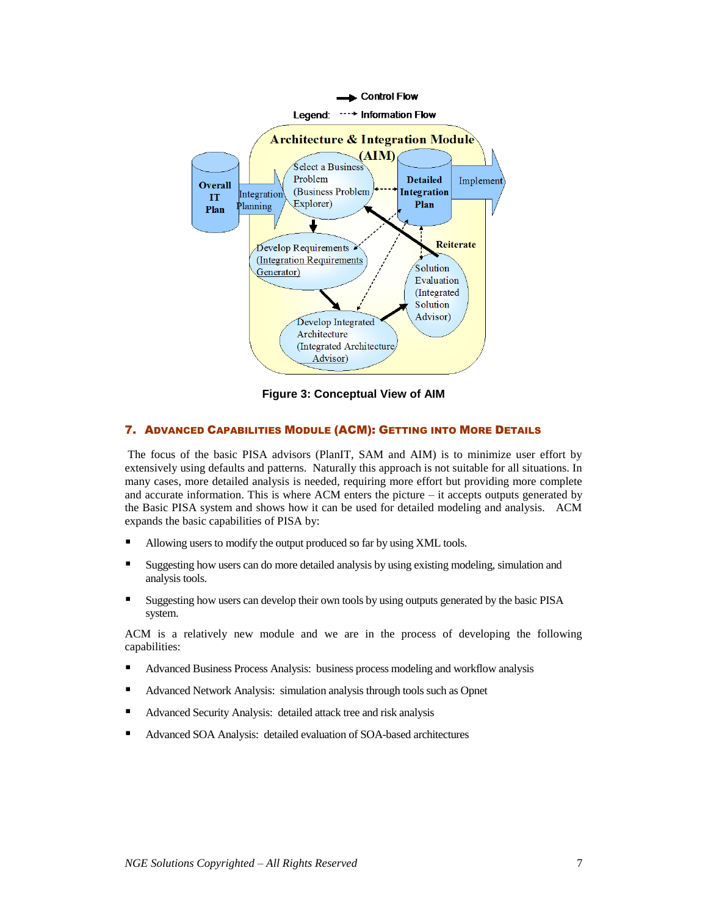

**Figure 3: Conceptual View of AIM** 

#### <span id="page-6-1"></span><span id="page-6-0"></span>7. ADVANCED CAPABILITIES MODULE (ACM): GETTING INTO MORE DETAILS

The focus of the basic PISA advisors (PlanIT, SAM and AIM) is to minimize user effort by extensively using defaults and patterns. Naturally this approach is not suitable for all situations. In many cases, more detailed analysis is needed, requiring more effort but providing more complete and accurate information. This is where ACM enters the picture  $-$  it accepts outputs generated by the Basic PISA system and shows how it can be used for detailed modeling and analysis. ACM expands the basic capabilities of PISA by:

- Allowing users to modify the output produced so far by using XML tools.
- Suggesting how users can do more detailed analysis by using existing modeling, simulation and analysis tools.
- Suggesting how users can develop their own tools by using outputs generated by the basic PISA system.

ACM is a relatively new module and we are in the process of developing the following capabilities:

- Advanced Business Process Analysis: business process modeling and workflow analysis
- Advanced Network Analysis: simulation analysis through tools such as Opnet
- Advanced Security Analysis: detailed attack tree and risk analysis
- Advanced SOA Analysis: detailed evaluation of SOA-based architectures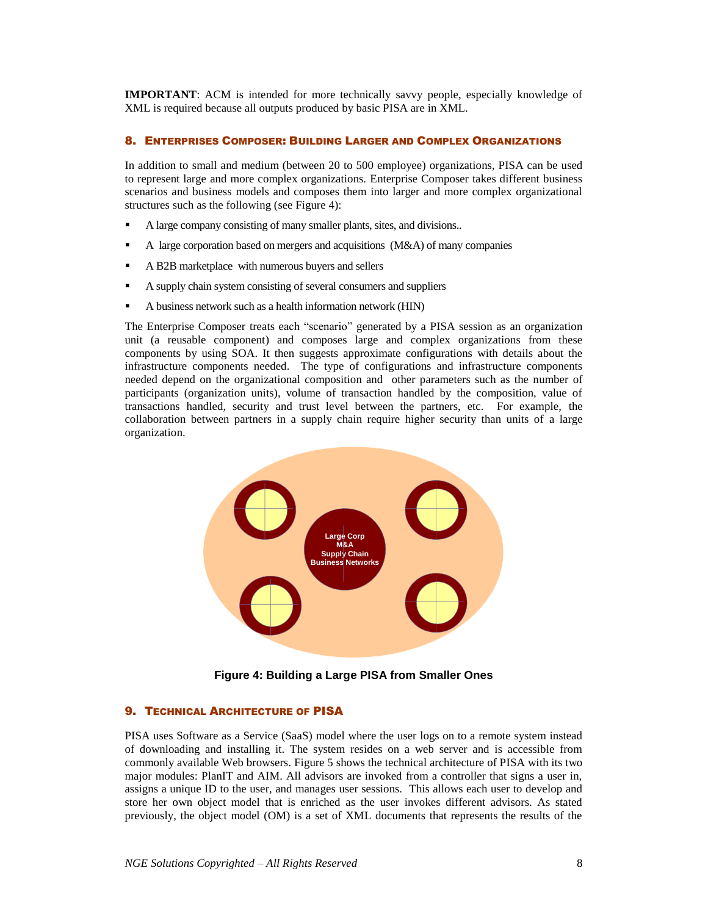**IMPORTANT**: ACM is intended for more technically savvy people, especially knowledge of XML is required because all outputs produced by basic PISA are in XML.

#### <span id="page-7-0"></span>8. ENTERPRISES COMPOSER: BUILDING LARGER AND COMPLEX ORGANIZATIONS

In addition to small and medium (between 20 to 500 employee) organizations, PISA can be used to represent large and more complex organizations. Enterprise Composer takes different business scenarios and business models and composes them into larger and more complex organizational structures such as the following (see [Figure 4\)](#page-7-1):

- A large company consisting of many smaller plants, sites, and divisions...
- A large corporation based on mergers and acquisitions (M&A) of many companies
- A B2B marketplace with numerous buyers and sellers
- A supply chain system consisting of several consumers and suppliers
- A business network such as a health information network (HIN)

The Enterprise Composer treats each "scenario" generated by a PISA session as an organization unit (a reusable component) and composes large and complex organizations from these components by using SOA. It then suggests approximate configurations with details about the infrastructure components needed. The type of configurations and infrastructure components needed depend on the organizational composition and other parameters such as the number of participants (organization units), volume of transaction handled by the composition, value of transactions handled, security and trust level between the partners, etc. For example, the collaboration between partners in a supply chain require higher security than units of a large organization.



**Figure 4: Building a Large PISA from Smaller Ones**

#### <span id="page-7-1"></span>**9. TECHNICAL ARCHITECTURE OF PISA**

PISA uses Software as a Service (SaaS) model where the user logs on to a remote system instead of downloading and installing it. The system resides on a web server and is accessible from commonly available Web browsers. [Figure 5](#page-8-0) shows the technical architecture of PISA with its two major modules: PlanIT and AIM. All advisors are invoked from a controller that signs a user in, assigns a unique ID to the user, and manages user sessions. This allows each user to develop and store her own object model that is enriched as the user invokes different advisors. As stated previously, the object model (OM) is a set of XML documents that represents the results of the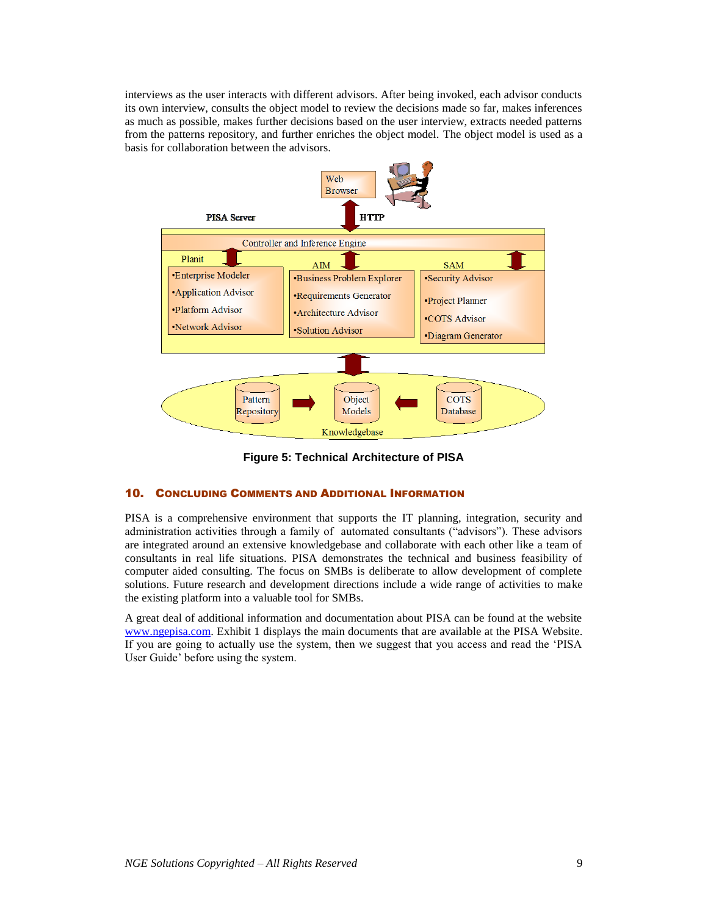interviews as the user interacts with different advisors. After being invoked, each advisor conducts its own interview, consults the object model to review the decisions made so far, makes inferences as much as possible, makes further decisions based on the user interview, extracts needed patterns from the patterns repository, and further enriches the object model. The object model is used as a basis for collaboration between the advisors.



**Figure 5: Technical Architecture of PISA**

#### <span id="page-8-0"></span>10. CONCLUDING COMMENTS AND ADDITIONAL INFORMATION

PISA is a comprehensive environment that supports the IT planning, integration, security and administration activities through a family of automated consultants ("advisors"). These advisors are integrated around an extensive knowledgebase and collaborate with each other like a team of consultants in real life situations. PISA demonstrates the technical and business feasibility of computer aided consulting. The focus on SMBs is deliberate to allow development of complete solutions. Future research and development directions include a wide range of activities to make the existing platform into a valuable tool for SMBs.

A great deal of additional information and documentation about PISA can be found at the website [www.ngepisa.com.](http://www.ngepisa.com/) Exhibit 1 displays the main documents that are available at the PISA Website. If you are going to actually use the system, then we suggest that you access and read the 'PISA User Guide' before using the system.